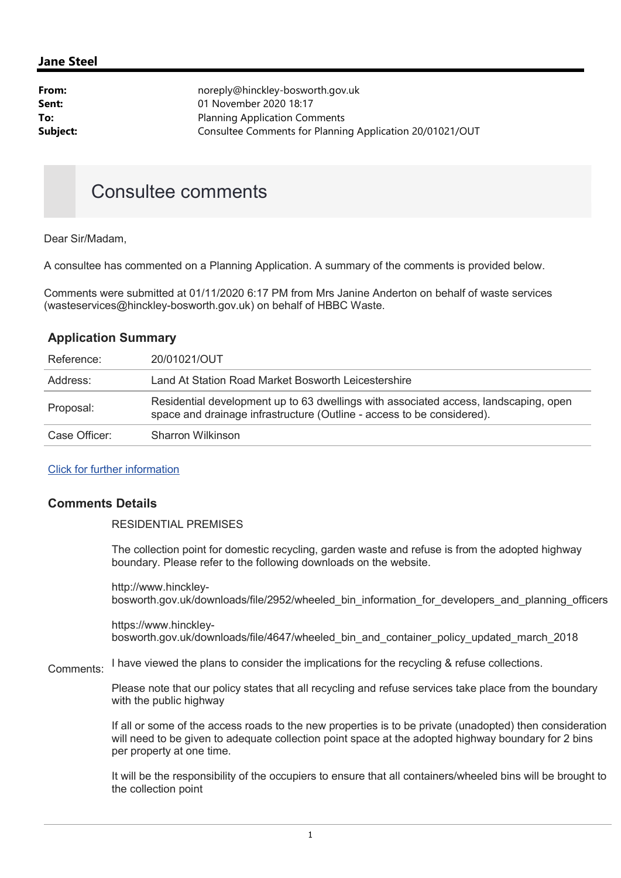## Jane Steel

| From:    | noreply@hinckley-bosworth.gov.uk                         |  |  |
|----------|----------------------------------------------------------|--|--|
| Sent:    | 01 November 2020 18:17                                   |  |  |
| To:      | <b>Planning Application Comments</b>                     |  |  |
| Subject: | Consultee Comments for Planning Application 20/01021/OUT |  |  |
|          |                                                          |  |  |

## Consultee comments

Dear Sir/Madam,

A consultee has commented on a Planning Application. A summary of the comments is provided below.

Comments were submitted at 01/11/2020 6:17 PM from Mrs Janine Anderton on behalf of waste services (wasteservices@hinckley-bosworth.gov.uk) on behalf of HBBC Waste.

|  | <b>Application Summary</b> |
|--|----------------------------|
|  |                            |

| Reference:    | 20/01021/OUT                                                                                                                                                   |
|---------------|----------------------------------------------------------------------------------------------------------------------------------------------------------------|
| Address:      | Land At Station Road Market Bosworth Leicestershire                                                                                                            |
| Proposal:     | Residential development up to 63 dwellings with associated access, landscaping, open<br>space and drainage infrastructure (Outline - access to be considered). |
| Case Officer: | Sharron Wilkinson                                                                                                                                              |

## Click for further information

## Comments Details

RESIDENTIAL PREMISES

The collection point for domestic recycling, garden waste and refuse is from the adopted highway boundary. Please refer to the following downloads on the website.

http://www.hinckleybosworth.gov.uk/downloads/file/2952/wheeled\_bin\_information\_for\_developers\_and\_planning\_officers

https://www.hinckleybosworth.gov.uk/downloads/file/4647/wheeled\_bin\_and\_container\_policy\_updated\_march\_2018

Comments: I have viewed the plans to consider the implications for the recycling & refuse collections.

> Please note that our policy states that all recycling and refuse services take place from the boundary with the public highway

If all or some of the access roads to the new properties is to be private (unadopted) then consideration will need to be given to adequate collection point space at the adopted highway boundary for 2 bins per property at one time.

It will be the responsibility of the occupiers to ensure that all containers/wheeled bins will be brought to the collection point